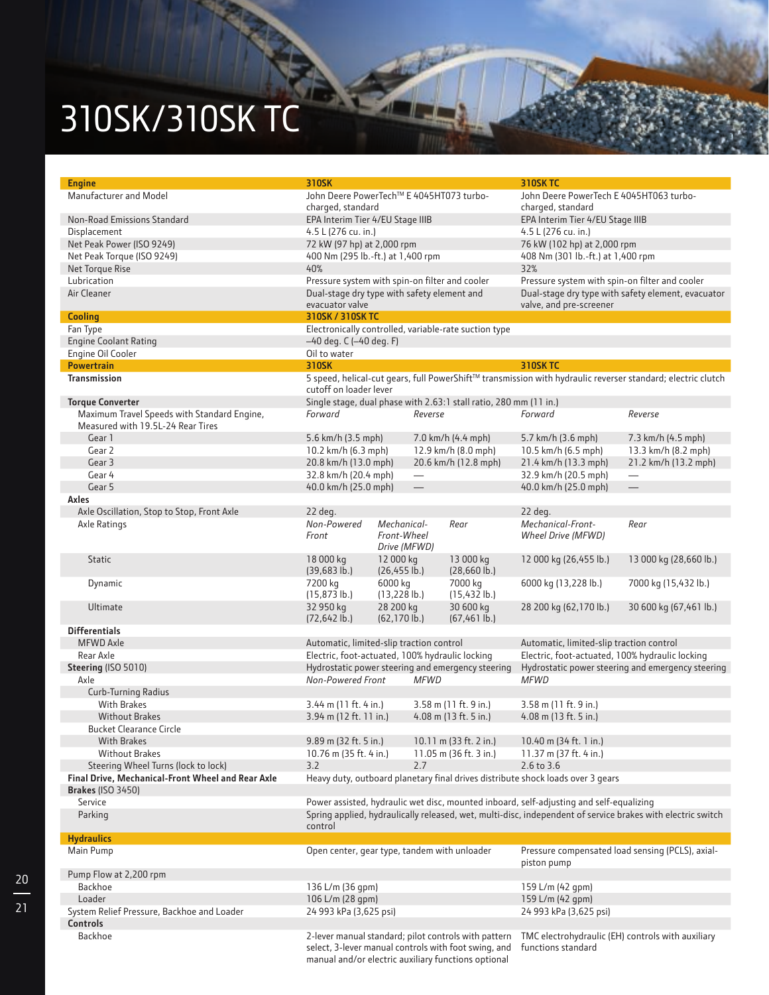## 310SK/310SK TC

| <b>Engine</b>                                                                    | 310SK                                                                                                                                 |                                                                              |                                 |                                                                                                             | <b>310SK TC</b>                                                                         |                        |  |  |
|----------------------------------------------------------------------------------|---------------------------------------------------------------------------------------------------------------------------------------|------------------------------------------------------------------------------|---------------------------------|-------------------------------------------------------------------------------------------------------------|-----------------------------------------------------------------------------------------|------------------------|--|--|
| Manufacturer and Model                                                           | John Deere PowerTech™ E 4045HT073 turbo-<br>charged, standard                                                                         |                                                                              |                                 |                                                                                                             | John Deere PowerTech E 4045HT063 turbo-<br>charged, standard                            |                        |  |  |
| Non-Road Emissions Standard                                                      | EPA Interim Tier 4/EU Stage IIIB                                                                                                      |                                                                              |                                 |                                                                                                             | EPA Interim Tier 4/EU Stage IIIB                                                        |                        |  |  |
| Displacement                                                                     | 4.5 L (276 cu. in.)                                                                                                                   |                                                                              |                                 |                                                                                                             | 4.5 L (276 cu. in.)                                                                     |                        |  |  |
| Net Peak Power (ISO 9249)                                                        | 72 kW (97 hp) at 2,000 rpm                                                                                                            |                                                                              |                                 |                                                                                                             | 76 kW (102 hp) at 2,000 rpm                                                             |                        |  |  |
| Net Peak Torque (ISO 9249)                                                       | 400 Nm (295 lb.-ft.) at 1,400 rpm                                                                                                     |                                                                              |                                 |                                                                                                             | 408 Nm (301 lb.-ft.) at 1,400 rpm                                                       |                        |  |  |
| Net Torque Rise                                                                  | 40%                                                                                                                                   |                                                                              |                                 |                                                                                                             | 32%                                                                                     |                        |  |  |
| Lubrication                                                                      | Pressure system with spin-on filter and cooler                                                                                        |                                                                              |                                 |                                                                                                             | Pressure system with spin-on filter and cooler                                          |                        |  |  |
| Air Cleaner                                                                      | Dual-stage dry type with safety element and<br>evacuator valve                                                                        |                                                                              |                                 |                                                                                                             | Dual-stage dry type with safety element, evacuator<br>valve, and pre-screener           |                        |  |  |
| <b>Cooling</b>                                                                   | 310SK / 310SK TC                                                                                                                      |                                                                              |                                 |                                                                                                             |                                                                                         |                        |  |  |
| Fan Type                                                                         | Electronically controlled, variable-rate suction type                                                                                 |                                                                              |                                 |                                                                                                             |                                                                                         |                        |  |  |
| <b>Engine Coolant Rating</b>                                                     | -40 deg. C (-40 deg. F)                                                                                                               |                                                                              |                                 |                                                                                                             |                                                                                         |                        |  |  |
| Engine Oil Cooler                                                                | Oil to water                                                                                                                          |                                                                              |                                 |                                                                                                             |                                                                                         |                        |  |  |
| <b>Powertrain</b>                                                                | 310SK                                                                                                                                 |                                                                              |                                 |                                                                                                             | <b>310SK TC</b>                                                                         |                        |  |  |
| Transmission                                                                     | 5 speed, helical-cut gears, full PowerShift™ transmission with hydraulic reverser standard; electric clutch<br>cutoff on loader lever |                                                                              |                                 |                                                                                                             |                                                                                         |                        |  |  |
| <b>Torque Converter</b>                                                          |                                                                                                                                       |                                                                              |                                 |                                                                                                             |                                                                                         |                        |  |  |
| Maximum Travel Speeds with Standard Engine,<br>Measured with 19.5L-24 Rear Tires | Forward                                                                                                                               | Single stage, dual phase with 2.63:1 stall ratio, 280 mm (11 in.)<br>Reverse |                                 | Forward                                                                                                     | Reverse                                                                                 |                        |  |  |
| Gear 1                                                                           | 5.6 km/h (3.5 mph)                                                                                                                    |                                                                              |                                 | 7.0 km/h (4.4 mph)                                                                                          | 5.7 km/h (3.6 mph)                                                                      | 7.3 km/h (4.5 mph)     |  |  |
| Gear 2                                                                           | 10.2 km/h (6.3 mph)                                                                                                                   |                                                                              | 12.9 km/h (8.0 mph)             |                                                                                                             | 10.5 km/h (6.5 mph)                                                                     | 13.3 km/h (8.2 mph)    |  |  |
| Gear 3                                                                           | 20.8 km/h (13.0 mph)                                                                                                                  |                                                                              |                                 | 20.6 km/h (12.8 mph)                                                                                        | 21.4 km/h (13.3 mph)                                                                    | 21.2 km/h (13.2 mph)   |  |  |
| Gear 4                                                                           | 32.8 km/h (20.4 mph)                                                                                                                  |                                                                              | $\overline{\phantom{0}}$        |                                                                                                             | 32.9 km/h (20.5 mph)                                                                    |                        |  |  |
| Gear 5                                                                           | 40.0 km/h (25.0 mph)                                                                                                                  |                                                                              | $\overbrace{\phantom{1232211}}$ |                                                                                                             | 40.0 km/h (25.0 mph)                                                                    |                        |  |  |
| Axles                                                                            |                                                                                                                                       |                                                                              |                                 |                                                                                                             |                                                                                         |                        |  |  |
| Axle Oscillation, Stop to Stop, Front Axle                                       | 22 deg.                                                                                                                               |                                                                              |                                 |                                                                                                             | 22 deg.                                                                                 |                        |  |  |
| Axle Ratings                                                                     | Non-Powered                                                                                                                           | Mechanical-                                                                  |                                 | Rear                                                                                                        | Mechanical-Front-                                                                       | Rear                   |  |  |
|                                                                                  | Front                                                                                                                                 | Front-Wheel                                                                  | Drive (MFWD)                    |                                                                                                             | Wheel Drive (MFWD)                                                                      |                        |  |  |
| <b>Static</b>                                                                    | 18 000 kg<br>$(39, 683 \, lb.)$                                                                                                       | 12 000 kg<br>$(26, 455$ lb.)                                                 |                                 | 13 000 kg<br>$(28,660 \, lb.)$                                                                              | 12 000 kg (26,455 lb.)                                                                  | 13 000 kg (28,660 lb.) |  |  |
| Dynamic                                                                          | 7200 kg<br>$(15, 873$ lb.)                                                                                                            | 6000 kg<br>$(13,228$ lb.)                                                    |                                 | 7000 kg<br>$(15,432$ lb.)                                                                                   | 6000 kg (13,228 lb.)                                                                    | 7000 kg (15,432 lb.)   |  |  |
| Ultimate                                                                         | 32 950 kg<br>$(72, 642$ lb.)                                                                                                          | 28 200 kg<br>$(62, 170 \, lb.)$                                              |                                 | 30 600 kg<br>$(67, 461$ lb.)                                                                                | 28 200 kg (62,170 lb.)                                                                  | 30 600 kg (67,461 lb.) |  |  |
| <b>Differentials</b>                                                             |                                                                                                                                       |                                                                              |                                 |                                                                                                             |                                                                                         |                        |  |  |
| <b>MFWD Axle</b>                                                                 | Automatic, limited-slip traction control                                                                                              |                                                                              |                                 |                                                                                                             | Automatic, limited-slip traction control                                                |                        |  |  |
| Rear Axle                                                                        | Electric, foot-actuated, 100% hydraulic locking                                                                                       |                                                                              |                                 |                                                                                                             | Electric, foot-actuated, 100% hydraulic locking                                         |                        |  |  |
| Steering (ISO 5010)                                                              | Hydrostatic power steering and emergency steering                                                                                     |                                                                              |                                 |                                                                                                             | Hydrostatic power steering and emergency steering                                       |                        |  |  |
| Axle                                                                             | Non-Powered Front                                                                                                                     |                                                                              | <b>MFWD</b>                     |                                                                                                             | <b>MFWD</b>                                                                             |                        |  |  |
| <b>Curb-Turning Radius</b>                                                       |                                                                                                                                       |                                                                              |                                 |                                                                                                             |                                                                                         |                        |  |  |
| <b>With Brakes</b>                                                               | 3.44 m (11 ft. 4 in.)                                                                                                                 |                                                                              |                                 | 3.58 m (11 ft. 9 in.)                                                                                       | 3.58 m (11 ft. 9 in.)                                                                   |                        |  |  |
| <b>Without Brakes</b>                                                            | 3.94 m (12 ft. 11 in.)                                                                                                                |                                                                              |                                 | 4.08 m (13 ft. 5 in.)                                                                                       | 4.08 m (13 ft. 5 in.)                                                                   |                        |  |  |
| <b>Bucket Clearance Circle</b>                                                   |                                                                                                                                       |                                                                              |                                 |                                                                                                             |                                                                                         |                        |  |  |
| <b>With Brakes</b>                                                               | 9.89 m (32 ft. 5 in.)                                                                                                                 |                                                                              | 10.11 m (33 ft. 2 in.)          |                                                                                                             | 10.40 m (34 ft. 1 in.)                                                                  |                        |  |  |
| <b>Without Brakes</b>                                                            | 10.76 m (35 ft. 4 in.)                                                                                                                |                                                                              | 11.05 m (36 ft. 3 in.)          |                                                                                                             | 11.37 m (37 ft. 4 in.)                                                                  |                        |  |  |
| Steering Wheel Turns (lock to lock)                                              | 3.2                                                                                                                                   |                                                                              | 2.7                             |                                                                                                             | 2.6 to 3.6                                                                              |                        |  |  |
| Final Drive, Mechanical-Front Wheel and Rear Axle                                |                                                                                                                                       |                                                                              |                                 |                                                                                                             | Heavy duty, outboard planetary final drives distribute shock loads over 3 gears         |                        |  |  |
| <b>Brakes (ISO 3450)</b>                                                         |                                                                                                                                       |                                                                              |                                 |                                                                                                             |                                                                                         |                        |  |  |
| Service                                                                          |                                                                                                                                       |                                                                              |                                 |                                                                                                             | Power assisted, hydraulic wet disc, mounted inboard, self-adjusting and self-equalizing |                        |  |  |
| Parking                                                                          | control                                                                                                                               |                                                                              |                                 | Spring applied, hydraulically released, wet, multi-disc, independent of service brakes with electric switch |                                                                                         |                        |  |  |
| <b>Hydraulics</b>                                                                |                                                                                                                                       |                                                                              |                                 |                                                                                                             |                                                                                         |                        |  |  |
| Main Pump                                                                        | Open center, gear type, tandem with unloader                                                                                          |                                                                              |                                 |                                                                                                             | Pressure compensated load sensing (PCLS), axial-<br>piston pump                         |                        |  |  |
| Pump Flow at 2,200 rpm                                                           |                                                                                                                                       |                                                                              |                                 |                                                                                                             |                                                                                         |                        |  |  |
| <b>Backhoe</b>                                                                   | 136 L/m (36 gpm)                                                                                                                      |                                                                              |                                 |                                                                                                             | 159 L/m (42 qpm)                                                                        |                        |  |  |
| Loader                                                                           | 106 L/m (28 gpm)                                                                                                                      |                                                                              |                                 |                                                                                                             | 159 L/m (42 qpm)                                                                        |                        |  |  |
| System Relief Pressure, Backhoe and Loader                                       | 24 993 kPa (3,625 psi)                                                                                                                |                                                                              |                                 |                                                                                                             | 24 993 kPa (3,625 psi)                                                                  |                        |  |  |
| <b>Controls</b>                                                                  |                                                                                                                                       |                                                                              |                                 |                                                                                                             |                                                                                         |                        |  |  |
| <b>Backhoe</b>                                                                   | 2-lever manual standard; pilot controls with pattern<br>select, 3-lever manual controls with foot swing, and                          |                                                                              |                                 |                                                                                                             | TMC electrohydraulic (EH) controls with auxiliary<br>functions standard                 |                        |  |  |

D. T

manual and/or electric auxiliary functions optional

20 21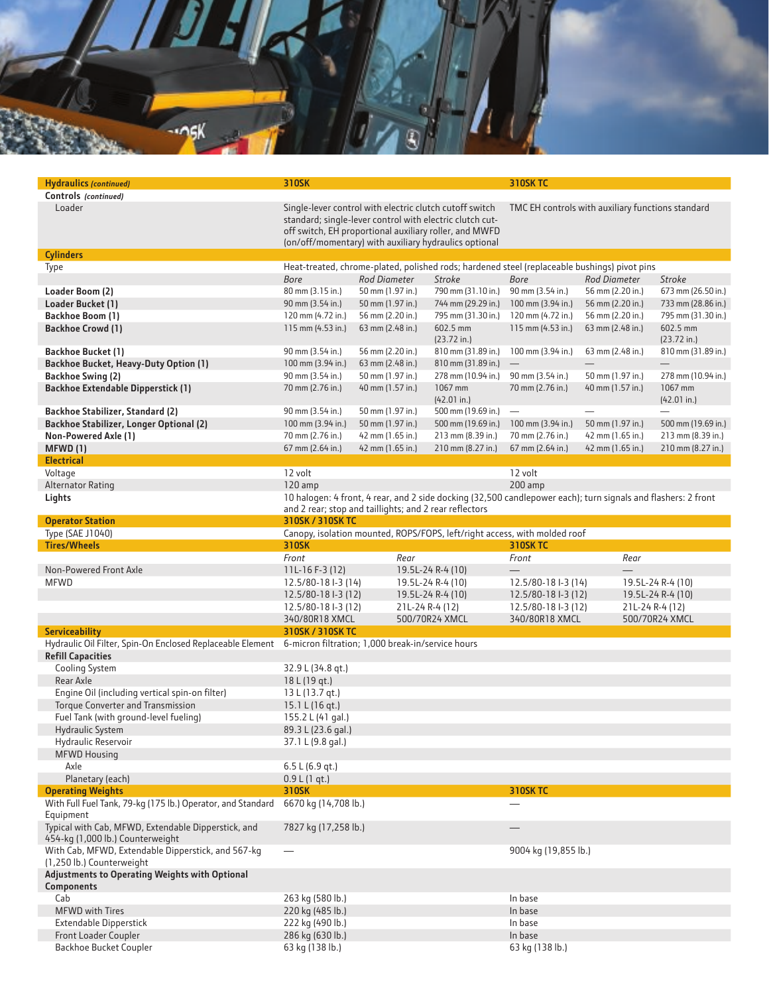

| <b>Hydraulics (continued)</b>                                                           | 310SK                                                                                                                                                                   |                                                         |                                                                                                                                                                             | <b>310SK TC</b>                                   |                  |                         |  |  |
|-----------------------------------------------------------------------------------------|-------------------------------------------------------------------------------------------------------------------------------------------------------------------------|---------------------------------------------------------|-----------------------------------------------------------------------------------------------------------------------------------------------------------------------------|---------------------------------------------------|------------------|-------------------------|--|--|
| Controls (continued)                                                                    |                                                                                                                                                                         |                                                         |                                                                                                                                                                             |                                                   |                  |                         |  |  |
| Loader                                                                                  |                                                                                                                                                                         | Single-lever control with electric clutch cutoff switch | standard; single-lever control with electric clutch cut-<br>off switch, EH proportional auxiliary roller, and MWFD<br>(on/off/momentary) with auxiliary hydraulics optional | TMC EH controls with auxiliary functions standard |                  |                         |  |  |
| <b>Cylinders</b>                                                                        |                                                                                                                                                                         |                                                         |                                                                                                                                                                             |                                                   |                  |                         |  |  |
| Type                                                                                    | Heat-treated, chrome-plated, polished rods; hardened steel (replaceable bushings) pivot pins                                                                            |                                                         |                                                                                                                                                                             |                                                   |                  |                         |  |  |
|                                                                                         | <b>Bore</b>                                                                                                                                                             | <b>Rod Diameter</b>                                     | Stroke                                                                                                                                                                      | <b>Bore</b>                                       | Rod Diameter     | Stroke                  |  |  |
| Loader Boom (2)                                                                         | 80 mm (3.15 in.)                                                                                                                                                        | 50 mm (1.97 in.)                                        | 790 mm (31.10 in.)                                                                                                                                                          | 90 mm (3.54 in.)                                  | 56 mm (2.20 in.) | 673 mm (26.50 in.)      |  |  |
| Loader Bucket (1)                                                                       | 90 mm (3.54 in.)                                                                                                                                                        | 50 mm (1.97 in.)                                        | 744 mm (29.29 in.)                                                                                                                                                          | 100 mm (3.94 in.)                                 | 56 mm (2.20 in.) | 733 mm (28.86 in.)      |  |  |
| Backhoe Boom (1)                                                                        | 120 mm (4.72 in.)                                                                                                                                                       | 56 mm (2.20 in.)                                        | 795 mm (31.30 in.)                                                                                                                                                          | 120 mm (4.72 in.)                                 | 56 mm (2.20 in.) | 795 mm (31.30 in.)      |  |  |
| <b>Backhoe Crowd (1)</b>                                                                | 115 mm $(4.53$ in.)                                                                                                                                                     | 63 mm (2.48 in.)                                        | 602.5 mm<br>(23.72 in.)                                                                                                                                                     | 115 mm $(4.53$ in.)                               | 63 mm (2.48 in.) | 602.5 mm<br>(23.72 in.) |  |  |
| <b>Backhoe Bucket (1)</b>                                                               | 90 mm (3.54 in.)                                                                                                                                                        | 56 mm (2.20 in.)                                        | 810 mm (31.89 in.)                                                                                                                                                          | 100 mm (3.94 in.)                                 | 63 mm (2.48 in.) | 810 mm (31.89 in.)      |  |  |
| Backhoe Bucket, Heavy-Duty Option (1)                                                   | 100 mm (3.94 in.)                                                                                                                                                       | 63 mm (2.48 in.)                                        | 810 mm (31.89 in.)                                                                                                                                                          |                                                   |                  | $\qquad \qquad -$       |  |  |
| <b>Backhoe Swing (2)</b>                                                                | 90 mm (3.54 in.)                                                                                                                                                        | 50 mm (1.97 in.)                                        | 278 mm (10.94 in.)                                                                                                                                                          | 90 mm (3.54 in.)                                  | 50 mm (1.97 in.) | 278 mm (10.94 in.)      |  |  |
| <b>Backhoe Extendable Dipperstick (1)</b>                                               | 70 mm (2.76 in.)                                                                                                                                                        | 40 mm (1.57 in.)                                        | 1067 mm<br>(42.01 in.)                                                                                                                                                      | 70 mm (2.76 in.)                                  | 40 mm (1.57 in.) | 1067 mm<br>(42.01 in.)  |  |  |
| Backhoe Stabilizer, Standard (2)                                                        | 90 mm (3.54 in.)                                                                                                                                                        | 50 mm (1.97 in.)                                        | 500 mm (19.69 in.)                                                                                                                                                          |                                                   |                  |                         |  |  |
| <b>Backhoe Stabilizer, Longer Optional (2)</b>                                          | 100 mm (3.94 in.)                                                                                                                                                       | 50 mm (1.97 in.)                                        | 500 mm (19.69 in.)                                                                                                                                                          | 100 mm (3.94 in.)                                 | 50 mm (1.97 in.) | 500 mm (19.69 in.)      |  |  |
| Non-Powered Axle (1)                                                                    | 70 mm (2.76 in.)                                                                                                                                                        | 42 mm (1.65 in.)                                        | 213 mm (8.39 in.)                                                                                                                                                           | 70 mm (2.76 in.)                                  | 42 mm (1.65 in.) | 213 mm (8.39 in.)       |  |  |
| <b>MFWD (1)</b>                                                                         | 67 mm (2.64 in.)                                                                                                                                                        | 42 mm (1.65 in.)                                        | 210 mm (8.27 in.)                                                                                                                                                           | 67 mm (2.64 in.)                                  | 42 mm (1.65 in.) | 210 mm (8.27 in.)       |  |  |
| <b>Electrical</b>                                                                       |                                                                                                                                                                         |                                                         |                                                                                                                                                                             |                                                   |                  |                         |  |  |
| Voltage                                                                                 | 12 volt                                                                                                                                                                 |                                                         |                                                                                                                                                                             | 12 volt                                           |                  |                         |  |  |
| <b>Alternator Rating</b>                                                                | 120 amp                                                                                                                                                                 |                                                         |                                                                                                                                                                             | 200 amp                                           |                  |                         |  |  |
| Lights                                                                                  |                                                                                                                                                                         |                                                         |                                                                                                                                                                             |                                                   |                  |                         |  |  |
|                                                                                         | 10 halogen: 4 front, 4 rear, and 2 side docking (32,500 candlepower each); turn signals and flashers: 2 front<br>and 2 rear; stop and taillights; and 2 rear reflectors |                                                         |                                                                                                                                                                             |                                                   |                  |                         |  |  |
| <b>Operator Station</b>                                                                 | 310SK / 310SK TC                                                                                                                                                        |                                                         |                                                                                                                                                                             |                                                   |                  |                         |  |  |
| Type (SAE J1040)                                                                        |                                                                                                                                                                         |                                                         | Canopy, isolation mounted, ROPS/FOPS, left/right access, with molded roof                                                                                                   |                                                   |                  |                         |  |  |
| <b>Tires/Wheels</b>                                                                     | 310SK                                                                                                                                                                   |                                                         |                                                                                                                                                                             | <b>310SK TC</b>                                   |                  |                         |  |  |
|                                                                                         | Front                                                                                                                                                                   | Rear                                                    |                                                                                                                                                                             | Front                                             | Rear             |                         |  |  |
| Non-Powered Front Axle                                                                  | $11L-16F-3(12)$                                                                                                                                                         |                                                         | 19.5L-24 R-4 (10)                                                                                                                                                           | $\qquad \qquad -$                                 |                  |                         |  |  |
| <b>MFWD</b>                                                                             | 12.5/80-18 I-3 (14)                                                                                                                                                     |                                                         | 19.5L-24 R-4 (10)                                                                                                                                                           | 12.5/80-181-3 (14)                                |                  | 19.5L-24 R-4 (10)       |  |  |
|                                                                                         | 12.5/80-181-3 (12)                                                                                                                                                      |                                                         | 19.5L-24 R-4 (10)                                                                                                                                                           | 12.5/80-181-3 (12)<br>19.5L-24 R-4 (10)           |                  |                         |  |  |
|                                                                                         | 12.5/80-181-3 (12)                                                                                                                                                      |                                                         | 21L-24 R-4 (12)                                                                                                                                                             | 12.5/80-181-3 (12)<br>21L-24 R-4 (12)             |                  |                         |  |  |
|                                                                                         | 340/80R18 XMCL                                                                                                                                                          |                                                         | 500/70R24 XMCL                                                                                                                                                              | 500/70R24 XMCL<br>340/80R18 XMCL                  |                  |                         |  |  |
| <b>Serviceability</b>                                                                   | 310SK / 310SK TC                                                                                                                                                        |                                                         |                                                                                                                                                                             |                                                   |                  |                         |  |  |
| Hydraulic Oil Filter, Spin-On Enclosed Replaceable Element                              |                                                                                                                                                                         | 6-micron filtration; 1,000 break-in/service hours       |                                                                                                                                                                             |                                                   |                  |                         |  |  |
| <b>Refill Capacities</b>                                                                |                                                                                                                                                                         |                                                         |                                                                                                                                                                             |                                                   |                  |                         |  |  |
| Cooling System                                                                          | 32.9 L (34.8 gt.)                                                                                                                                                       |                                                         |                                                                                                                                                                             |                                                   |                  |                         |  |  |
| Rear Axle                                                                               | 18 L (19 gt.)                                                                                                                                                           |                                                         |                                                                                                                                                                             |                                                   |                  |                         |  |  |
| Engine Oil (including vertical spin-on filter)                                          | 13 L (13.7 gt.)                                                                                                                                                         |                                                         |                                                                                                                                                                             |                                                   |                  |                         |  |  |
| Torque Converter and Transmission                                                       | 15.1 L (16 qt.)                                                                                                                                                         |                                                         |                                                                                                                                                                             |                                                   |                  |                         |  |  |
| Fuel Tank (with ground-level fueling)                                                   | 155.2 L (41 gal.)                                                                                                                                                       |                                                         |                                                                                                                                                                             |                                                   |                  |                         |  |  |
| Hydraulic System                                                                        | 89.3 L (23.6 gal.)                                                                                                                                                      |                                                         |                                                                                                                                                                             |                                                   |                  |                         |  |  |
| Hydraulic Reservoir                                                                     | 37.1 L (9.8 gal.)                                                                                                                                                       |                                                         |                                                                                                                                                                             |                                                   |                  |                         |  |  |
| <b>MFWD Housing</b>                                                                     |                                                                                                                                                                         |                                                         |                                                                                                                                                                             |                                                   |                  |                         |  |  |
| Axle                                                                                    | 6.5 L (6.9 qt.)                                                                                                                                                         |                                                         |                                                                                                                                                                             |                                                   |                  |                         |  |  |
| Planetary (each)                                                                        | 0.9 L (1 qt.)                                                                                                                                                           |                                                         |                                                                                                                                                                             |                                                   |                  |                         |  |  |
| <b>Operating Weights</b>                                                                | 310SK                                                                                                                                                                   |                                                         |                                                                                                                                                                             | <b>310SK TC</b>                                   |                  |                         |  |  |
| With Full Fuel Tank, 79-kg (175 lb.) Operator, and Standard                             | 6670 kg (14,708 lb.)                                                                                                                                                    |                                                         |                                                                                                                                                                             |                                                   |                  |                         |  |  |
| Equipment                                                                               |                                                                                                                                                                         |                                                         |                                                                                                                                                                             |                                                   |                  |                         |  |  |
| Typical with Cab, MFWD, Extendable Dipperstick, and<br>454-kg (1,000 lb.) Counterweight | 7827 kg (17,258 lb.)                                                                                                                                                    |                                                         |                                                                                                                                                                             | $\overline{\phantom{0}}$                          |                  |                         |  |  |
| With Cab, MFWD, Extendable Dipperstick, and 567-kg<br>(1,250 lb.) Counterweight         | $\overbrace{\phantom{12333}}$                                                                                                                                           |                                                         |                                                                                                                                                                             | 9004 kg (19,855 lb.)                              |                  |                         |  |  |
| <b>Adjustments to Operating Weights with Optional</b><br>Components                     |                                                                                                                                                                         |                                                         |                                                                                                                                                                             |                                                   |                  |                         |  |  |
| Cab                                                                                     |                                                                                                                                                                         |                                                         |                                                                                                                                                                             |                                                   |                  |                         |  |  |
| <b>MFWD</b> with Tires                                                                  | 263 kg (580 lb.)                                                                                                                                                        |                                                         |                                                                                                                                                                             | In base                                           |                  |                         |  |  |
|                                                                                         | 220 kg (485 lb.)                                                                                                                                                        |                                                         |                                                                                                                                                                             | In base                                           |                  |                         |  |  |
| Extendable Dipperstick                                                                  | 222 kg (490 lb.)                                                                                                                                                        |                                                         |                                                                                                                                                                             | In base                                           |                  |                         |  |  |
| Front Loader Coupler                                                                    | 286 kg (630 lb.)                                                                                                                                                        |                                                         |                                                                                                                                                                             | In base                                           |                  |                         |  |  |
| Backhoe Bucket Coupler                                                                  | 63 kg (138 lb.)                                                                                                                                                         |                                                         |                                                                                                                                                                             | 63 kg (138 lb.)                                   |                  |                         |  |  |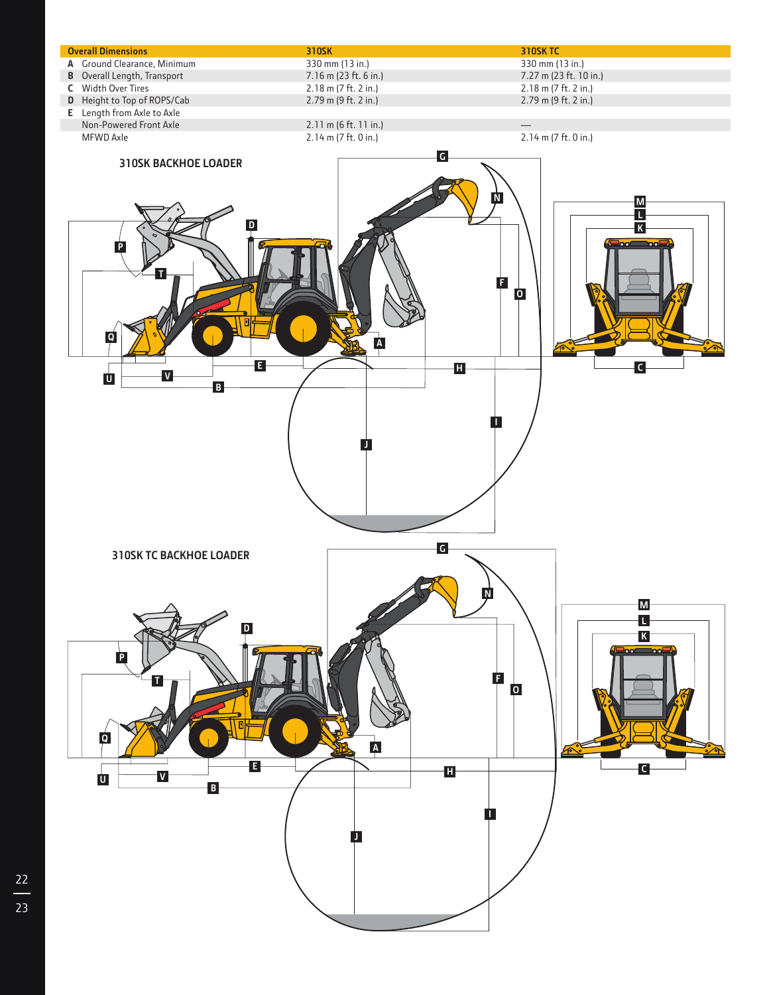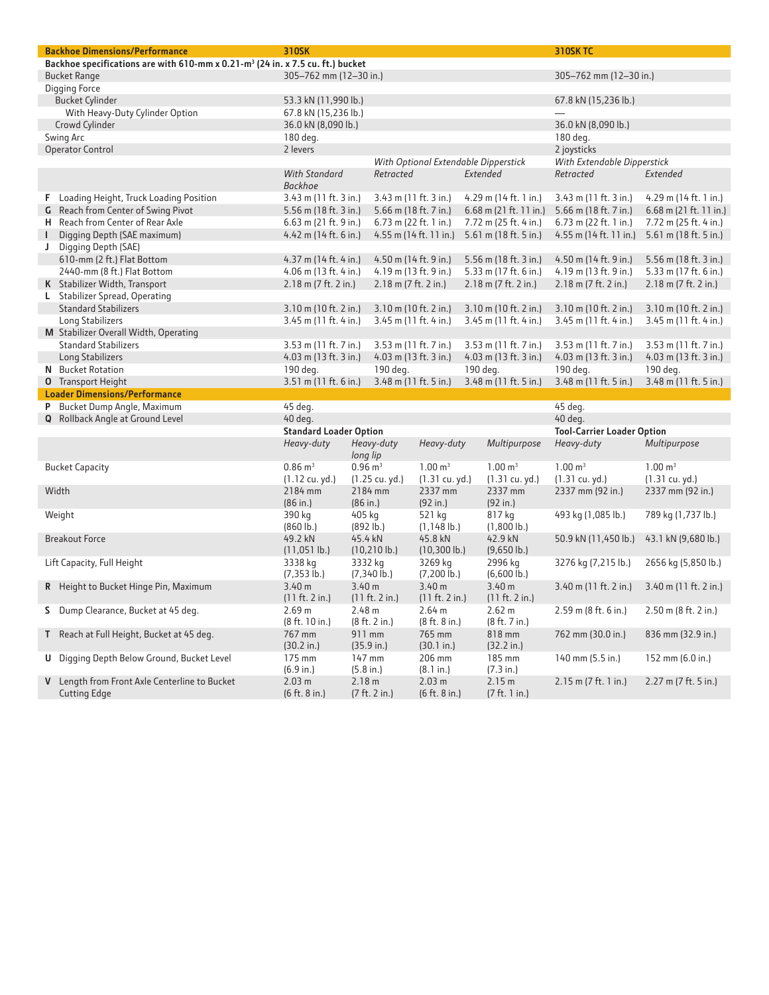| <b>Backhoe Dimensions/Performance</b>                                                      | 310SK                                  |                      |                         |                              |          |                                      | <b>310SK TC</b>                   |                          |
|--------------------------------------------------------------------------------------------|----------------------------------------|----------------------|-------------------------|------------------------------|----------|--------------------------------------|-----------------------------------|--------------------------|
| Backhoe specifications are with 610-mm x 0.21-m <sup>3</sup> (24 in. x 7.5 cu. ft.) bucket |                                        |                      |                         |                              |          |                                      |                                   |                          |
| <b>Bucket Range</b>                                                                        | 305-762 mm (12-30 in.)                 |                      |                         |                              |          |                                      | 305-762 mm (12-30 in.)            |                          |
| <b>Digging Force</b>                                                                       |                                        |                      |                         |                              |          |                                      |                                   |                          |
| <b>Bucket Cylinder</b>                                                                     | 53.3 kN (11,990 lb.)                   |                      |                         |                              |          |                                      | 67.8 kN (15,236 lb.)              |                          |
| With Heavy-Duty Cylinder Option                                                            | 67.8 kN (15,236 lb.)                   |                      |                         |                              |          |                                      |                                   |                          |
| Crowd Cylinder                                                                             | 36.0 kN (8,090 lb.)                    |                      |                         |                              |          |                                      | 36.0 kN (8,090 lb.)               |                          |
| Swing Arc                                                                                  | 180 deg.                               |                      |                         |                              |          |                                      | 180 deg.                          |                          |
| <b>Operator Control</b>                                                                    | 2 levers                               |                      |                         |                              |          |                                      | 2 joysticks                       |                          |
|                                                                                            |                                        |                      |                         |                              |          | With Optional Extendable Dipperstick | With Extendable Dipperstick       |                          |
|                                                                                            | <b>With Standard</b><br><b>Backhoe</b> |                      | Retracted               |                              |          | Extended                             | Retracted                         | Extended                 |
| F Loading Height, Truck Loading Position                                                   | 3.43 m (11 ft. 3 in.)                  |                      | 3.43 m (11 ft. 3 in.)   |                              |          | 4.29 m (14 ft. 1 in.)                | 3.43 m (11 ft. 3 in.)             | 4.29 m (14 ft. 1 in.)    |
| G Reach from Center of Swing Pivot                                                         | 5.56 m (18 ft. 3 in.)                  |                      | 5.66 m (18 ft. 7 in.)   |                              |          | $6.68$ m (21 ft. 11 in.)             | 5.66 m $(18 ft. 7 in.)$           | $6.68$ m (21 ft. 11 in.) |
| H Reach from Center of Rear Axle                                                           | 6.63 m (21 ft. 9 in.)                  |                      | $6.73$ m (22 ft. 1 in.) |                              |          | 7.72 m (25 ft. 4 in.)                | $6.73$ m (22 ft. 1 in.)           | 7.72 m (25 ft. 4 in.)    |
| Digging Depth (SAE maximum)<br>L                                                           | 4.42 m $(14 ft. 6 in.)$                |                      |                         | 4.55 m (14 ft. 11 in.)       |          | 5.61 m (18 ft. 5 in.)                | 4.55 m $(14 ft. 11 in.)$          | 5.61 m (18 ft. 5 in.)    |
| J Digging Depth (SAE)                                                                      |                                        |                      |                         |                              |          |                                      |                                   |                          |
| 610-mm (2 ft.) Flat Bottom                                                                 | 4.37 m $(14 ft. 4 in.)$                |                      | 4.50 m (14 ft. 9 in.)   |                              |          | 5.56 m (18 ft. 3 in.)                | 4.50 m (14 ft. 9 in.)             | 5.56 m (18 ft. 3 in.)    |
| 2440-mm (8 ft.) Flat Bottom                                                                | 4.06 m (13 ft. 4 in.)                  |                      | 4.19 m (13 ft. 9 in.)   |                              |          | 5.33 m (17 ft. 6 in.)                | 4.19 m (13 ft. 9 in.)             | 5.33 m (17 ft. 6 in.)    |
| K Stabilizer Width, Transport                                                              | 2.18 m (7 ft. 2 in.)                   |                      | 2.18 m (7 ft. 2 in.)    |                              |          | $2.18$ m (7 ft. 2 in.)               | 2.18 m (7 ft. 2 in.)              | 2.18 m (7 ft. 2 in.)     |
| L Stabilizer Spread, Operating                                                             |                                        |                      |                         |                              |          |                                      |                                   |                          |
| <b>Standard Stabilizers</b>                                                                | 3.10 m (10 ft. 2 in.)                  |                      | 3.10 m (10 ft. 2 in.)   |                              |          | 3.10 m (10 ft. 2 in.)                | 3.10 m (10 ft. 2 in.)             | $3.10$ m (10 ft. 2 in.)  |
| Long Stabilizers                                                                           | 3.45 m (11 ft. 4 in.)                  |                      | $3.45$ m (11 ft. 4 in.) |                              |          | 3.45 m (11 ft. 4 in.)                | 3.45 m (11 ft. 4 in.)             | 3.45 m (11 ft. 4 in.)    |
| M Stabilizer Overall Width, Operating                                                      |                                        |                      |                         |                              |          |                                      |                                   |                          |
| <b>Standard Stabilizers</b>                                                                | 3.53 m (11 ft. 7 in.)                  |                      | 3.53 m (11 ft. 7 in.)   |                              |          | 3.53 m (11 ft. 7 in.)                | 3.53 m (11 ft. 7 in.)             | $3.53$ m (11 ft. 7 in.)  |
| Long Stabilizers                                                                           | $4.03$ m (13 ft. 3 in.)                |                      | $4.03$ m (13 ft. 3 in.) |                              |          | 4.03 m $(13 ft. 3 in.)$              | 4.03 m $(13 ft. 3 in.)$           | 4.03 m (13 ft. 3 in.)    |
| N Bucket Rotation                                                                          | 190 deg.                               |                      | 190 deg.                |                              | 190 deg. |                                      | 190 deg.                          | 190 deg.                 |
| <b>O</b> Transport Height                                                                  | 3.51 m (11 ft. 6 in.)                  |                      | 3.48 m (11 ft. 5 in.)   |                              |          | 3.48 m (11 ft. 5 in.)                | $3.48$ m (11 ft. 5 in.)           | 3.48 m (11 ft. 5 in.)    |
| <b>Loader Dimensions/Performance</b>                                                       |                                        |                      |                         |                              |          |                                      |                                   |                          |
| P Bucket Dump Angle, Maximum                                                               | 45 deg.                                |                      |                         |                              |          |                                      | 45 deg.                           |                          |
| <b>Q</b> Rollback Angle at Ground Level                                                    | 40 deg.                                |                      |                         |                              |          |                                      | 40 deg.                           |                          |
|                                                                                            | <b>Standard Loader Option</b>          |                      |                         |                              |          |                                      | <b>Tool-Carrier Loader Option</b> |                          |
|                                                                                            | Heavy-duty                             | long lip             | Heavy-duty              | Heavy-duty                   |          | Multipurpose                         | Heavy-duty                        | Multipurpose             |
| <b>Bucket Capacity</b>                                                                     | $0.86 \text{ m}^3$                     | $0.96 \text{ m}^3$   |                         | $1.00 \text{ m}^3$           |          | $1.00 \text{ m}^3$                   | $1.00 \text{ m}^3$                | $1.00 \text{ m}^3$       |
|                                                                                            | (1.12 cu. yd.)                         |                      | (1.25 cu. yd.)          | (1.31 cu. yd.)               |          | (1.31 cu. yd.)                       | (1.31 cu. yd.)                    | (1.31 cu. yd.)           |
| Width                                                                                      | 2184 mm<br>(86 in.)                    | (86 in.)             | 2184 mm                 | 2337 mm<br>(92 in.)          |          | 2337 mm<br>(92 in.)                  | 2337 mm (92 in.)                  | 2337 mm (92 in.)         |
| Weight                                                                                     | 390 kg<br>$(860 \, \text{lb.})$        | 405 kg<br>(892 lb.)  |                         | 521 kg<br>$(1, 148 \, lb.)$  |          | 817 kg<br>$(1,800 \, lb.)$           | 493 kg (1,085 lb.)                | 789 kg (1,737 lb.)       |
| <b>Breakout Force</b>                                                                      | 49.2 kN<br>$(11, 051$ lb.)             | 45.4 kN              | (10, 210)               | 45.8 kN<br>$(10,300 \, lb.)$ |          | 42.9 kN<br>$(9,650$ lb.)             | 50.9 kN (11,450 lb.)              | 43.1 kN (9,680 lb.)      |
| Lift Capacity, Full Height                                                                 | 3338 kg<br>$(7,353$ lb.)               | 3332 kg              | $(7,340 \, lb.)$        | 3269 kg<br>$(7,200$ lb.)     |          | 2996 kg<br>$(6,600 \, lb.)$          | 3276 kg (7,215 lb.)               | 2656 kg (5,850 lb.)      |
| R Height to Bucket Hinge Pin, Maximum                                                      | 3.40 m<br>(11 ft. 2 in.)               | 3.40 m               | (11 ft. 2 in.)          | 3.40 m<br>(11 ft. 2 in.)     |          | 3.40 m<br>(11 ft. 2 in.)             | 3.40 m (11 ft. 2 in.)             | 3.40 m (11 ft. 2 in.)    |
| S Dump Clearance, Bucket at 45 deq.                                                        | 2.69 m<br>(8 ft. 10 in.)               | 2.48 m               | (8 ft. 2 in.)           | 2.64 m<br>(8 ft. 8 in.)      |          | 2.62 m<br>(8 ft. 7 in.)              | $2.59$ m (8 ft. 6 in.)            | 2.50 m (8 ft. 2 in.)     |
| T Reach at Full Height, Bucket at 45 deg.                                                  | 767 mm<br>(30.2 in.)                   | 911 mm<br>(35.9 in.) |                         | 765 mm<br>(30.1 in.)         |          | 818 mm<br>(32.2 in.)                 | 762 mm (30.0 in.)                 | 836 mm (32.9 in.)        |
| <b>U</b> Digging Depth Below Ground, Bucket Level                                          | 175 mm<br>(6.9 in.)                    | 147 mm<br>(5.8 in.)  |                         | 206 mm<br>(8.1 in.)          |          | 185 mm<br>(7.3 in.)                  | 140 mm (5.5 in.)                  | 152 mm (6.0 in.)         |
| V Length from Front Axle Centerline to Bucket<br><b>Cutting Edge</b>                       | 2.03 m<br>(6 ft. 8 in.)                | 2.18 m               | (7 ft. 2 in.)           | 2.03 m<br>(6 ft. 8 in.)      |          | 2.15 m<br>(7 ft. 1 in.)              | $2.15$ m (7 ft. 1 in.)            | 2.27 m (7 ft. 5 in.)     |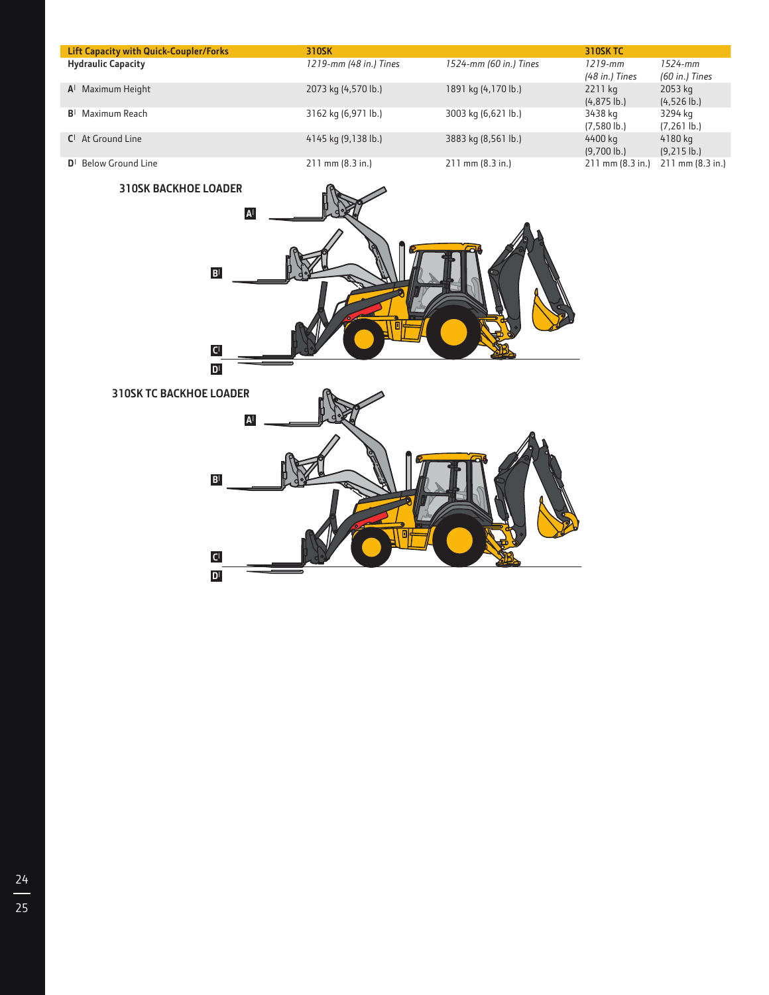| <b>Lift Capacity with Quick-Coupler/Forks</b> | 310SK                  |                        | <b>310SK TC</b>              |                               |
|-----------------------------------------------|------------------------|------------------------|------------------------------|-------------------------------|
| <b>Hydraulic Capacity</b>                     | 1219-mm (48 in.) Tines | 1524-mm (60 in.) Tines | $1219$ -mm<br>(48 in.) Tines | $1524 - mm$<br>(60 in.) Tines |
| $A1$ Maximum Height                           | 2073 kg (4,570 lb.)    | 1891 kg (4,170 lb.)    | 2211 kg<br>$(4, 875 \, lb.)$ | 2053 kg<br>$(4,526$ lb.)      |
| $B1$ Maximum Reach                            | 3162 kg (6,971 lb.)    | 3003 kg (6,621 lb.)    | 3438 kg<br>$(7,580 \, lb.)$  | 3294 kg<br>$(7,261 \, lb.)$   |
| $Cl$ At Ground Line                           | 4145 kg (9,138 lb.)    | 3883 kg (8,561 lb.)    | 4400 kg<br>$(9,700 \, lb.)$  | 4180 kg<br>$(9,215 \, lb.)$   |
| $D^{\dagger}$ Below Ground Line               | $211$ mm $(8.3$ in.)   | $211$ mm $(8.3$ in.)   | $211$ mm $(8.3$ in.)         | $211$ mm $(8.3$ in.)          |